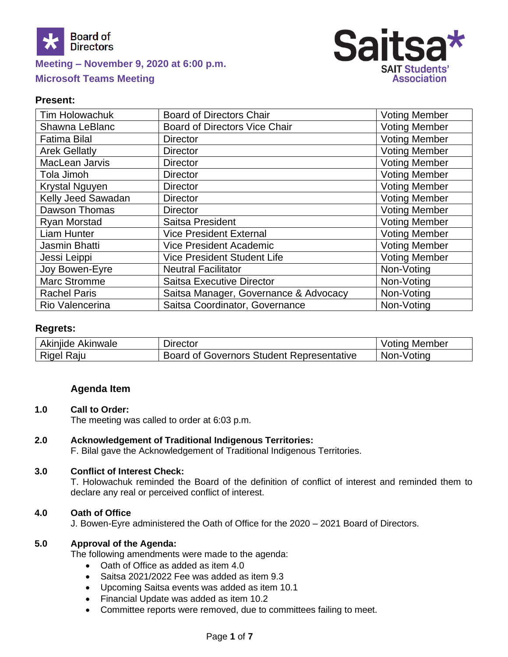



## **Present:**

| <b>Tim Holowachuk</b> | <b>Board of Directors Chair</b>       | <b>Voting Member</b> |
|-----------------------|---------------------------------------|----------------------|
| Shawna LeBlanc        | <b>Board of Directors Vice Chair</b>  | <b>Voting Member</b> |
| <b>Fatima Bilal</b>   | <b>Director</b>                       | <b>Voting Member</b> |
| <b>Arek Gellatly</b>  | <b>Director</b>                       | <b>Voting Member</b> |
| MacLean Jarvis        | <b>Director</b>                       | <b>Voting Member</b> |
| Tola Jimoh            | <b>Director</b>                       | <b>Voting Member</b> |
| Krystal Nguyen        | <b>Director</b>                       | <b>Voting Member</b> |
| Kelly Jeed Sawadan    | <b>Director</b>                       | <b>Voting Member</b> |
| Dawson Thomas         | <b>Director</b>                       | <b>Voting Member</b> |
| Ryan Morstad          | Saitsa President                      | <b>Voting Member</b> |
| <b>Liam Hunter</b>    | <b>Vice President External</b>        | <b>Voting Member</b> |
| Jasmin Bhatti         | <b>Vice President Academic</b>        | <b>Voting Member</b> |
| Jessi Leippi          | Vice President Student Life           | <b>Voting Member</b> |
| Joy Bowen-Eyre        | <b>Neutral Facilitator</b>            | Non-Voting           |
| <b>Marc Stromme</b>   | <b>Saitsa Executive Director</b>      | Non-Voting           |
| <b>Rachel Paris</b>   | Saitsa Manager, Governance & Advocacy | Non-Voting           |
| Rio Valencerina       | Saitsa Coordinator, Governance        | Non-Voting           |

#### **Regrets:**

| Akinjide Akinwale | Director                                  | . Member<br>'otınq |
|-------------------|-------------------------------------------|--------------------|
| Raju<br>Rigel     | Board of Governors Student Representative | Non-Voting         |

## **Agenda Item**

#### **1.0 Call to Order:**

The meeting was called to order at 6:03 p.m.

#### **2.0 Acknowledgement of Traditional Indigenous Territories:**

F. Bilal gave the Acknowledgement of Traditional Indigenous Territories.

#### **3.0 Conflict of Interest Check:**

T. Holowachuk reminded the Board of the definition of conflict of interest and reminded them to declare any real or perceived conflict of interest.

#### **4.0 Oath of Office**

J. Bowen-Eyre administered the Oath of Office for the 2020 – 2021 Board of Directors.

#### **5.0 Approval of the Agenda:**

The following amendments were made to the agenda:

- Oath of Office as added as item 4.0
- Saitsa 2021/2022 Fee was added as item 9.3
- Upcoming Saitsa events was added as item 10.1
- Financial Update was added as item 10.2
- Committee reports were removed, due to committees failing to meet.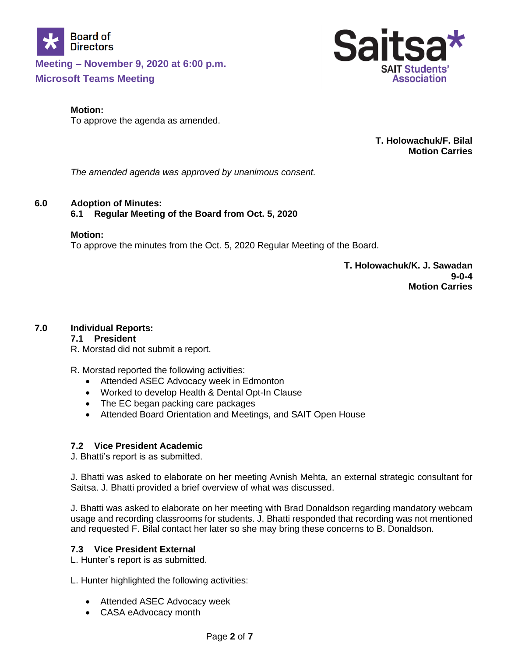



To approve the agenda as amended.

**T. Holowachuk/F. Bilal Motion Carries**

**SAIT Students' Association** 

Sai

*The amended agenda was approved by unanimous consent.*

# **6.0 Adoption of Minutes:**

# **6.1 Regular Meeting of the Board from Oct. 5, 2020**

#### **Motion:**

To approve the minutes from the Oct. 5, 2020 Regular Meeting of the Board.

**T. Holowachuk/K. J. Sawadan 9-0-4 Motion Carries**

# **7.0 Individual Reports:**

## **7.1 President**

R. Morstad did not submit a report.

R. Morstad reported the following activities:

- Attended ASEC Advocacy week in Edmonton
- Worked to develop Health & Dental Opt-In Clause
- The EC began packing care packages
- Attended Board Orientation and Meetings, and SAIT Open House

## **7.2 Vice President Academic**

J. Bhatti's report is as submitted.

J. Bhatti was asked to elaborate on her meeting Avnish Mehta, an external strategic consultant for Saitsa. J. Bhatti provided a brief overview of what was discussed.

J. Bhatti was asked to elaborate on her meeting with Brad Donaldson regarding mandatory webcam usage and recording classrooms for students. J. Bhatti responded that recording was not mentioned and requested F. Bilal contact her later so she may bring these concerns to B. Donaldson.

## **7.3 Vice President External**

L. Hunter's report is as submitted.

L. Hunter highlighted the following activities:

- Attended ASEC Advocacy week
- CASA eAdvocacy month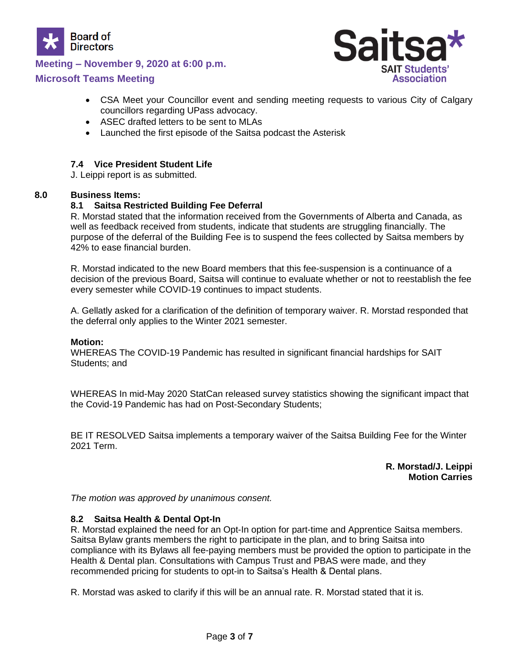

# **Meeting – November 9, 2020 at 6:00 p.m.**

# **Microsoft Teams Meeting**



- CSA Meet your Councillor event and sending meeting requests to various City of Calgary councillors regarding UPass advocacy.
- ASEC drafted letters to be sent to MLAs
- Launched the first episode of the Saitsa podcast the Asterisk

## **7.4 Vice President Student Life**

J. Leippi report is as submitted.

#### **8.0 Business Items:**

## **8.1 Saitsa Restricted Building Fee Deferral**

R. Morstad stated that the information received from the Governments of Alberta and Canada, as well as feedback received from students, indicate that students are struggling financially. The purpose of the deferral of the Building Fee is to suspend the fees collected by Saitsa members by 42% to ease financial burden.

R. Morstad indicated to the new Board members that this fee-suspension is a continuance of a decision of the previous Board, Saitsa will continue to evaluate whether or not to reestablish the fee every semester while COVID-19 continues to impact students.

A. Gellatly asked for a clarification of the definition of temporary waiver. R. Morstad responded that the deferral only applies to the Winter 2021 semester.

#### **Motion:**

WHEREAS The COVID-19 Pandemic has resulted in significant financial hardships for SAIT Students; and

WHEREAS In mid-May 2020 StatCan released survey statistics showing the significant impact that the Covid-19 Pandemic has had on Post-Secondary Students;

BE IT RESOLVED Saitsa implements a temporary waiver of the Saitsa Building Fee for the Winter 2021 Term.

> **R. Morstad/J. Leippi Motion Carries**

*The motion was approved by unanimous consent.*

## **8.2 Saitsa Health & Dental Opt-In**

R. Morstad explained the need for an Opt-In option for part-time and Apprentice Saitsa members. Saitsa Bylaw grants members the right to participate in the plan, and to bring Saitsa into compliance with its Bylaws all fee-paying members must be provided the option to participate in the Health & Dental plan. Consultations with Campus Trust and PBAS were made, and they recommended pricing for students to opt-in to Saitsa's Health & Dental plans.

R. Morstad was asked to clarify if this will be an annual rate. R. Morstad stated that it is.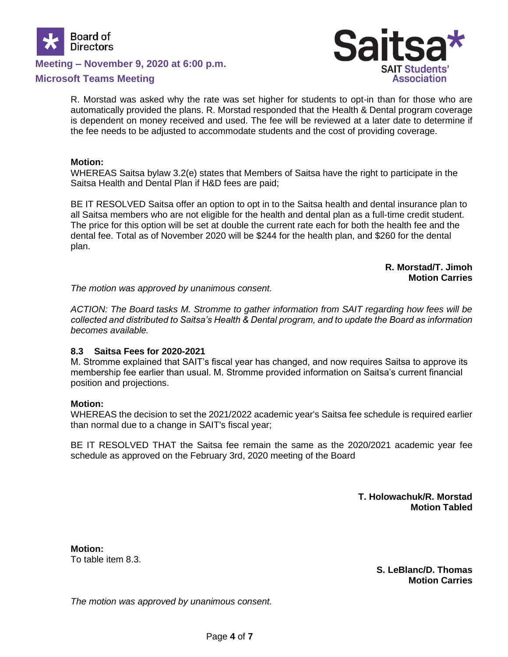

**Meeting – November 9, 2020 at 6:00 p.m.**

## **Microsoft Teams Meeting**



R. Morstad was asked why the rate was set higher for students to opt-in than for those who are automatically provided the plans. R. Morstad responded that the Health & Dental program coverage is dependent on money received and used. The fee will be reviewed at a later date to determine if the fee needs to be adjusted to accommodate students and the cost of providing coverage.

#### **Motion:**

WHEREAS Saitsa bylaw 3.2(e) states that Members of Saitsa have the right to participate in the Saitsa Health and Dental Plan if H&D fees are paid;

BE IT RESOLVED Saitsa offer an option to opt in to the Saitsa health and dental insurance plan to all Saitsa members who are not eligible for the health and dental plan as a full-time credit student. The price for this option will be set at double the current rate each for both the health fee and the dental fee. Total as of November 2020 will be \$244 for the health plan, and \$260 for the dental plan.

> **R. Morstad/T. Jimoh Motion Carries**

*The motion was approved by unanimous consent.*

*ACTION: The Board tasks M. Stromme to gather information from SAIT regarding how fees will be collected and distributed to Saitsa's Health & Dental program, and to update the Board as information becomes available.* 

#### **8.3 Saitsa Fees for 2020-2021**

M. Stromme explained that SAIT's fiscal year has changed, and now requires Saitsa to approve its membership fee earlier than usual. M. Stromme provided information on Saitsa's current financial position and projections.

#### **Motion:**

WHEREAS the decision to set the 2021/2022 academic year's Saitsa fee schedule is required earlier than normal due to a change in SAIT's fiscal year;

BE IT RESOLVED THAT the Saitsa fee remain the same as the 2020/2021 academic year fee schedule as approved on the February 3rd, 2020 meeting of the Board

> **T. Holowachuk/R. Morstad Motion Tabled**

**Motion:** To table item 8.3.

> **S. LeBlanc/D. Thomas Motion Carries**

*The motion was approved by unanimous consent.*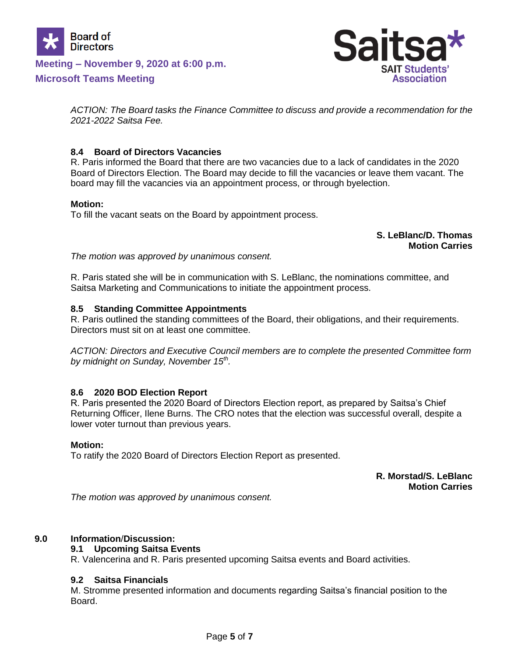



*ACTION: The Board tasks the Finance Committee to discuss and provide a recommendation for the 2021-2022 Saitsa Fee.*

## **8.4 Board of Directors Vacancies**

R. Paris informed the Board that there are two vacancies due to a lack of candidates in the 2020 Board of Directors Election. The Board may decide to fill the vacancies or leave them vacant. The board may fill the vacancies via an appointment process, or through byelection.

## **Motion:**

To fill the vacant seats on the Board by appointment process.

# **S. LeBlanc/D. Thomas Motion Carries**

*The motion was approved by unanimous consent.*

R. Paris stated she will be in communication with S. LeBlanc, the nominations committee, and Saitsa Marketing and Communications to initiate the appointment process.

#### **8.5 Standing Committee Appointments**

R. Paris outlined the standing committees of the Board, their obligations, and their requirements. Directors must sit on at least one committee.

*ACTION: Directors and Executive Council members are to complete the presented Committee form by midnight on Sunday, November 15th .* 

## **8.6 2020 BOD Election Report**

R. Paris presented the 2020 Board of Directors Election report, as prepared by Saitsa's Chief Returning Officer, Ilene Burns. The CRO notes that the election was successful overall, despite a lower voter turnout than previous years.

#### **Motion:**

To ratify the 2020 Board of Directors Election Report as presented.

## **R. Morstad/S. LeBlanc Motion Carries**

*The motion was approved by unanimous consent.*

## **9.0 Information**/**Discussion:**

## **9.1 Upcoming Saitsa Events**

R. Valencerina and R. Paris presented upcoming Saitsa events and Board activities.

## **9.2 Saitsa Financials**

M. Stromme presented information and documents regarding Saitsa's financial position to the Board.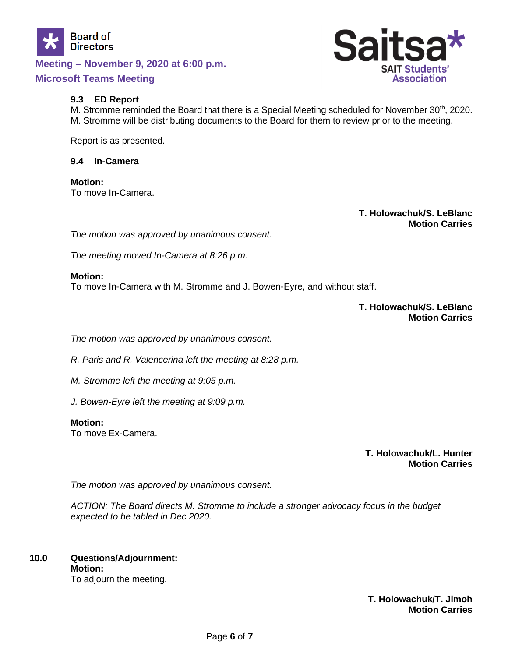



#### **9.3 ED Report**

M. Stromme reminded the Board that there is a Special Meeting scheduled for November 30<sup>th</sup>, 2020. M. Stromme will be distributing documents to the Board for them to review prior to the meeting.

Report is as presented.

#### **9.4 In-Camera**

**Motion:** To move In-Camera.

> **T. Holowachuk/S. LeBlanc Motion Carries**

*The motion was approved by unanimous consent.*

*The meeting moved In-Camera at 8:26 p.m.*

#### **Motion:**

To move In-Camera with M. Stromme and J. Bowen-Eyre, and without staff.

**T. Holowachuk/S. LeBlanc Motion Carries**

*The motion was approved by unanimous consent.*

*R. Paris and R. Valencerina left the meeting at 8:28 p.m.*

*M. Stromme left the meeting at 9:05 p.m.*

*J. Bowen-Eyre left the meeting at 9:09 p.m.*

#### **Motion:**

To move Ex-Camera.

**T. Holowachuk/L. Hunter Motion Carries**

*The motion was approved by unanimous consent.*

*ACTION: The Board directs M. Stromme to include a stronger advocacy focus in the budget expected to be tabled in Dec 2020.*

# **10.0 Questions/Adjournment: Motion:**

To adjourn the meeting.